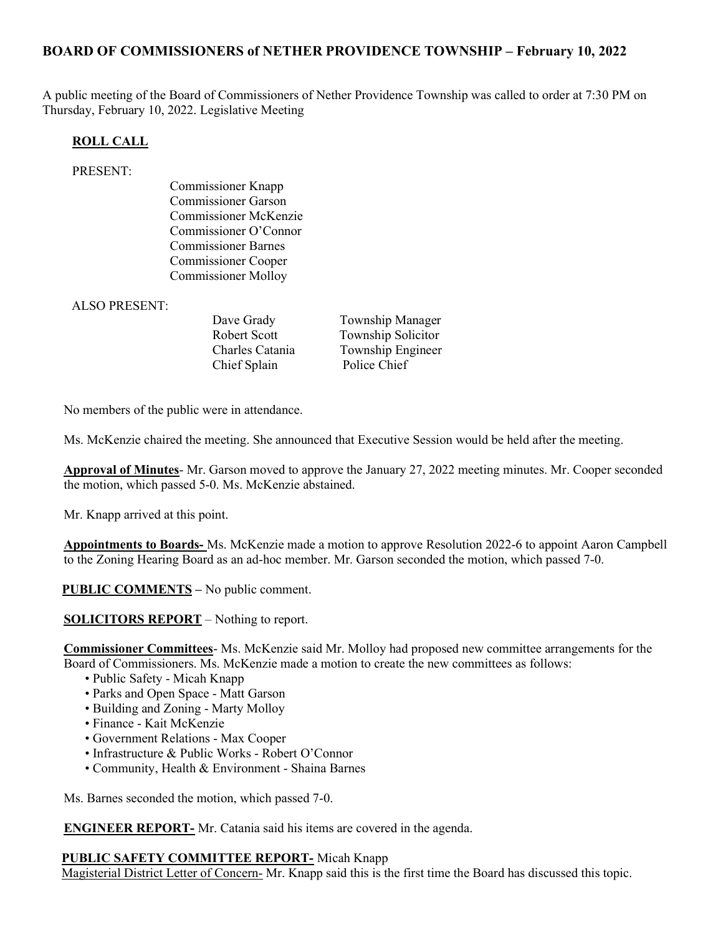## BOARD OF COMMISSIONERS of NETHER PROVIDENCE TOWNSHIP – February 10, 2022

A public meeting of the Board of Commissioners of Nether Providence Township was called to order at 7:30 PM on Thursday, February 10, 2022. Legislative Meeting

#### ROLL CALL

#### PRESENT:

Commissioner Knapp Commissioner Garson Commissioner McKenzie Commissioner O'Connor Commissioner Barnes Commissioner Cooper Commissioner Molloy

ALSO PRESENT:

Chief Splain Police Chief

Dave Grady Township Manager Robert Scott Township Solicitor Charles Catania Township Engineer

No members of the public were in attendance.

Ms. McKenzie chaired the meeting. She announced that Executive Session would be held after the meeting.

Approval of Minutes- Mr. Garson moved to approve the January 27, 2022 meeting minutes. Mr. Cooper seconded the motion, which passed 5-0. Ms. McKenzie abstained.

Mr. Knapp arrived at this point.

Appointments to Boards- Ms. McKenzie made a motion to approve Resolution 2022-6 to appoint Aaron Campbell to the Zoning Hearing Board as an ad-hoc member. Mr. Garson seconded the motion, which passed 7-0.

**PUBLIC COMMENTS** – No public comment.

SOLICITORS REPORT – Nothing to report.

Commissioner Committees- Ms. McKenzie said Mr. Molloy had proposed new committee arrangements for the Board of Commissioners. Ms. McKenzie made a motion to create the new committees as follows:

- Public Safety Micah Knapp
- Parks and Open Space Matt Garson
- Building and Zoning Marty Molloy
- Finance Kait McKenzie
- Government Relations Max Cooper
- Infrastructure & Public Works Robert O'Connor
- Community, Health & Environment Shaina Barnes

Ms. Barnes seconded the motion, which passed 7-0.

ENGINEER REPORT- Mr. Catania said his items are covered in the agenda.

#### PUBLIC SAFETY COMMITTEE REPORT- Micah Knapp

Magisterial District Letter of Concern- Mr. Knapp said this is the first time the Board has discussed this topic.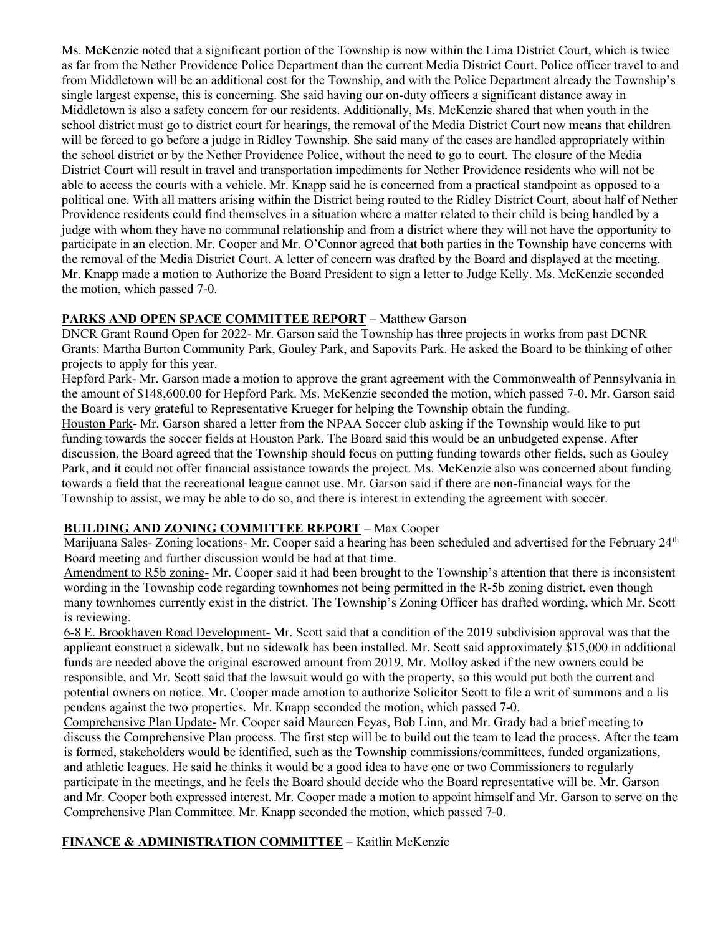Ms. McKenzie noted that a significant portion of the Township is now within the Lima District Court, which is twice as far from the Nether Providence Police Department than the current Media District Court. Police officer travel to and from Middletown will be an additional cost for the Township, and with the Police Department already the Township's single largest expense, this is concerning. She said having our on-duty officers a significant distance away in Middletown is also a safety concern for our residents. Additionally, Ms. McKenzie shared that when youth in the school district must go to district court for hearings, the removal of the Media District Court now means that children will be forced to go before a judge in Ridley Township. She said many of the cases are handled appropriately within the school district or by the Nether Providence Police, without the need to go to court. The closure of the Media District Court will result in travel and transportation impediments for Nether Providence residents who will not be able to access the courts with a vehicle. Mr. Knapp said he is concerned from a practical standpoint as opposed to a political one. With all matters arising within the District being routed to the Ridley District Court, about half of Nether Providence residents could find themselves in a situation where a matter related to their child is being handled by a judge with whom they have no communal relationship and from a district where they will not have the opportunity to participate in an election. Mr. Cooper and Mr. O'Connor agreed that both parties in the Township have concerns with the removal of the Media District Court. A letter of concern was drafted by the Board and displayed at the meeting. Mr. Knapp made a motion to Authorize the Board President to sign a letter to Judge Kelly. Ms. McKenzie seconded the motion, which passed 7-0.

### PARKS AND OPEN SPACE COMMITTEE REPORT – Matthew Garson

DNCR Grant Round Open for 2022- Mr. Garson said the Township has three projects in works from past DCNR Grants: Martha Burton Community Park, Gouley Park, and Sapovits Park. He asked the Board to be thinking of other projects to apply for this year.

Hepford Park- Mr. Garson made a motion to approve the grant agreement with the Commonwealth of Pennsylvania in the amount of \$148,600.00 for Hepford Park. Ms. McKenzie seconded the motion, which passed 7-0. Mr. Garson said the Board is very grateful to Representative Krueger for helping the Township obtain the funding.

Houston Park- Mr. Garson shared a letter from the NPAA Soccer club asking if the Township would like to put funding towards the soccer fields at Houston Park. The Board said this would be an unbudgeted expense. After discussion, the Board agreed that the Township should focus on putting funding towards other fields, such as Gouley Park, and it could not offer financial assistance towards the project. Ms. McKenzie also was concerned about funding towards a field that the recreational league cannot use. Mr. Garson said if there are non-financial ways for the Township to assist, we may be able to do so, and there is interest in extending the agreement with soccer.

# BUILDING AND ZONING COMMITTEE REPORT – Max Cooper

Marijuana Sales- Zoning locations- Mr. Cooper said a hearing has been scheduled and advertised for the February 24<sup>th</sup> Board meeting and further discussion would be had at that time.

Amendment to R5b zoning- Mr. Cooper said it had been brought to the Township's attention that there is inconsistent wording in the Township code regarding townhomes not being permitted in the R-5b zoning district, even though many townhomes currently exist in the district. The Township's Zoning Officer has drafted wording, which Mr. Scott is reviewing.

6-8 E. Brookhaven Road Development- Mr. Scott said that a condition of the 2019 subdivision approval was that the applicant construct a sidewalk, but no sidewalk has been installed. Mr. Scott said approximately \$15,000 in additional funds are needed above the original escrowed amount from 2019. Mr. Molloy asked if the new owners could be responsible, and Mr. Scott said that the lawsuit would go with the property, so this would put both the current and potential owners on notice. Mr. Cooper made amotion to authorize Solicitor Scott to file a writ of summons and a lis pendens against the two properties. Mr. Knapp seconded the motion, which passed 7-0.

Comprehensive Plan Update- Mr. Cooper said Maureen Feyas, Bob Linn, and Mr. Grady had a brief meeting to discuss the Comprehensive Plan process. The first step will be to build out the team to lead the process. After the team is formed, stakeholders would be identified, such as the Township commissions/committees, funded organizations, and athletic leagues. He said he thinks it would be a good idea to have one or two Commissioners to regularly participate in the meetings, and he feels the Board should decide who the Board representative will be. Mr. Garson and Mr. Cooper both expressed interest. Mr. Cooper made a motion to appoint himself and Mr. Garson to serve on the Comprehensive Plan Committee. Mr. Knapp seconded the motion, which passed 7-0.

# FINANCE & ADMINISTRATION COMMITTEE – Kaitlin McKenzie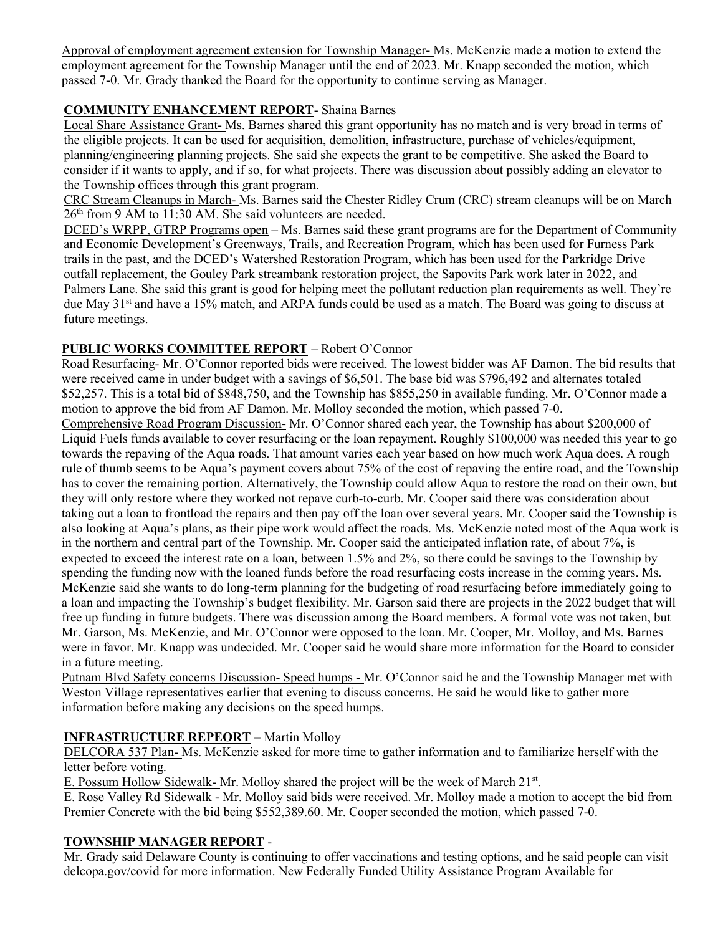Approval of employment agreement extension for Township Manager- Ms. McKenzie made a motion to extend the employment agreement for the Township Manager until the end of 2023. Mr. Knapp seconded the motion, which passed 7-0. Mr. Grady thanked the Board for the opportunity to continue serving as Manager.

# COMMUNITY ENHANCEMENT REPORT- Shaina Barnes

Local Share Assistance Grant- Ms. Barnes shared this grant opportunity has no match and is very broad in terms of the eligible projects. It can be used for acquisition, demolition, infrastructure, purchase of vehicles/equipment, planning/engineering planning projects. She said she expects the grant to be competitive. She asked the Board to consider if it wants to apply, and if so, for what projects. There was discussion about possibly adding an elevator to the Township offices through this grant program.

CRC Stream Cleanups in March- Ms. Barnes said the Chester Ridley Crum (CRC) stream cleanups will be on March 26th from 9 AM to 11:30 AM. She said volunteers are needed.

DCED's WRPP, GTRP Programs open – Ms. Barnes said these grant programs are for the Department of Community and Economic Development's Greenways, Trails, and Recreation Program, which has been used for Furness Park trails in the past, and the DCED's Watershed Restoration Program, which has been used for the Parkridge Drive outfall replacement, the Gouley Park streambank restoration project, the Sapovits Park work later in 2022, and Palmers Lane. She said this grant is good for helping meet the pollutant reduction plan requirements as well. They're due May 31<sup>st</sup> and have a 15% match, and ARPA funds could be used as a match. The Board was going to discuss at future meetings.

### PUBLIC WORKS COMMITTEE REPORT – Robert O'Connor

Road Resurfacing- Mr. O'Connor reported bids were received. The lowest bidder was AF Damon. The bid results that were received came in under budget with a savings of \$6,501. The base bid was \$796,492 and alternates totaled \$52,257. This is a total bid of \$848,750, and the Township has \$855,250 in available funding. Mr. O'Connor made a motion to approve the bid from AF Damon. Mr. Molloy seconded the motion, which passed 7-0.

Comprehensive Road Program Discussion- Mr. O'Connor shared each year, the Township has about \$200,000 of Liquid Fuels funds available to cover resurfacing or the loan repayment. Roughly \$100,000 was needed this year to go towards the repaving of the Aqua roads. That amount varies each year based on how much work Aqua does. A rough rule of thumb seems to be Aqua's payment covers about 75% of the cost of repaving the entire road, and the Township has to cover the remaining portion. Alternatively, the Township could allow Aqua to restore the road on their own, but they will only restore where they worked not repave curb-to-curb. Mr. Cooper said there was consideration about taking out a loan to frontload the repairs and then pay off the loan over several years. Mr. Cooper said the Township is also looking at Aqua's plans, as their pipe work would affect the roads. Ms. McKenzie noted most of the Aqua work is in the northern and central part of the Township. Mr. Cooper said the anticipated inflation rate, of about 7%, is expected to exceed the interest rate on a loan, between 1.5% and 2%, so there could be savings to the Township by spending the funding now with the loaned funds before the road resurfacing costs increase in the coming years. Ms. McKenzie said she wants to do long-term planning for the budgeting of road resurfacing before immediately going to a loan and impacting the Township's budget flexibility. Mr. Garson said there are projects in the 2022 budget that will free up funding in future budgets. There was discussion among the Board members. A formal vote was not taken, but Mr. Garson, Ms. McKenzie, and Mr. O'Connor were opposed to the loan. Mr. Cooper, Mr. Molloy, and Ms. Barnes were in favor. Mr. Knapp was undecided. Mr. Cooper said he would share more information for the Board to consider in a future meeting.

Putnam Blvd Safety concerns Discussion- Speed humps - Mr. O'Connor said he and the Township Manager met with Weston Village representatives earlier that evening to discuss concerns. He said he would like to gather more information before making any decisions on the speed humps.

# INFRASTRUCTURE REPEORT – Martin Molloy

DELCORA 537 Plan- Ms. McKenzie asked for more time to gather information and to familiarize herself with the letter before voting.

E. Possum Hollow Sidewalk-Mr. Molloy shared the project will be the week of March 21<sup>st</sup>.

E. Rose Valley Rd Sidewalk - Mr. Molloy said bids were received. Mr. Molloy made a motion to accept the bid from Premier Concrete with the bid being \$552,389.60. Mr. Cooper seconded the motion, which passed 7-0.

#### TOWNSHIP MANAGER REPORT -

Mr. Grady said Delaware County is continuing to offer vaccinations and testing options, and he said people can visit delcopa.gov/covid for more information. New Federally Funded Utility Assistance Program Available for